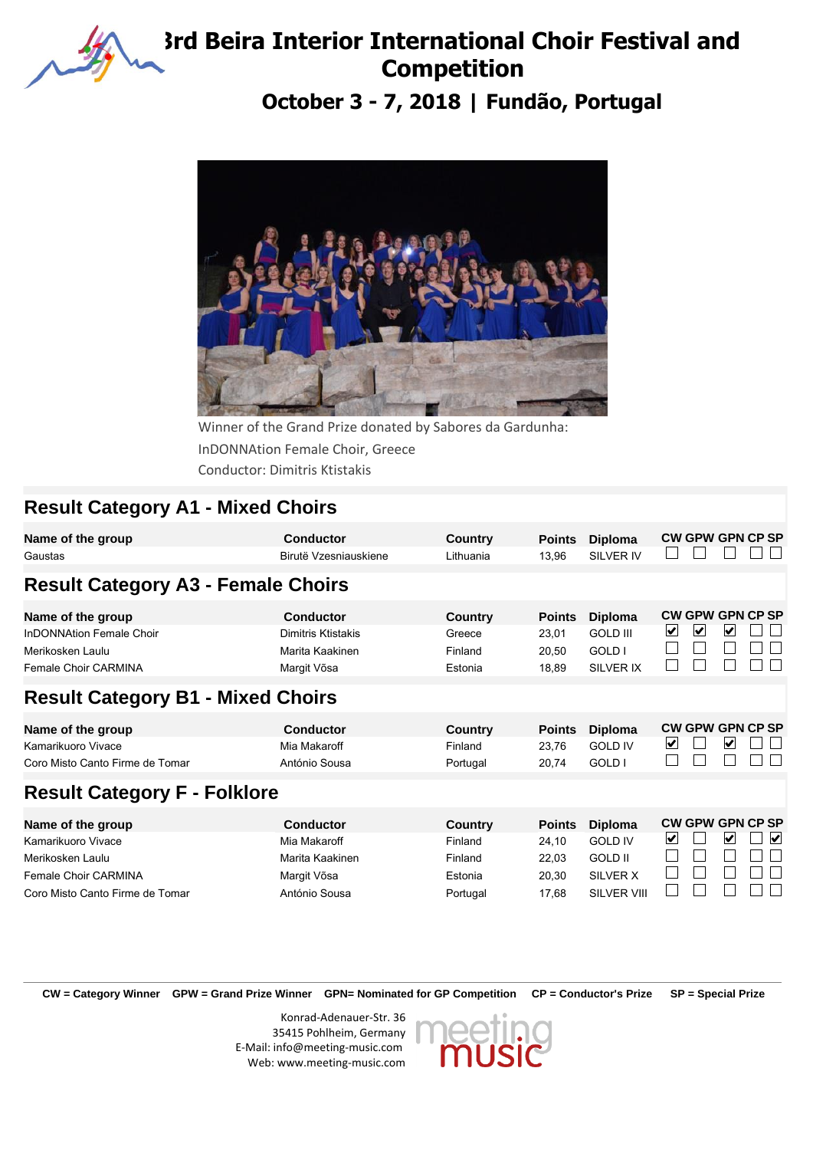

## **3rd Beira Interior International Choir Festival and Competition**

**October 3 - 7, 2018 | Fundão, Portugal**



InDONNAtion Female Choir, Greece Winner of the Grand Prize donated by Sabores da Gardunha: Conductor: Dimitris Ktistakis

## **Result Category A1 - Mixed Choirs**

| <b>Conductor</b><br>Birutë Vzesniauskiene                                           | Country<br>Lithuania                            | <b>Points</b><br>13,96                   | <b>Diploma</b><br><b>SILVER IV</b>                             |                         |  |                                            |                                                                                                                                              |
|-------------------------------------------------------------------------------------|-------------------------------------------------|------------------------------------------|----------------------------------------------------------------|-------------------------|--|--------------------------------------------|----------------------------------------------------------------------------------------------------------------------------------------------|
|                                                                                     |                                                 |                                          |                                                                |                         |  |                                            |                                                                                                                                              |
| Conductor<br>Dimitris Ktistakis<br>Marita Kaakinen<br>Margit Võsa                   | <b>Country</b><br>Greece<br>Finland<br>Estonia  | <b>Points</b><br>23,01<br>20,50<br>18,89 | <b>Diploma</b><br><b>GOLD III</b><br>GOLD I<br>SILVER IX       | $\vert \checkmark\vert$ |  |                                            |                                                                                                                                              |
| <b>Result Category B1 - Mixed Choirs</b>                                            |                                                 |                                          |                                                                |                         |  |                                            |                                                                                                                                              |
| <b>Conductor</b><br>Mia Makaroff<br>António Sousa                                   | <b>Country</b><br>Finland<br>Portugal           | <b>Points</b><br>23,76<br>20,74          | <b>Diploma</b><br><b>GOLD IV</b><br>GOLD I                     | ⊻                       |  |                                            |                                                                                                                                              |
| <b>Result Category F - Folklore</b>                                                 |                                                 |                                          |                                                                |                         |  |                                            |                                                                                                                                              |
| <b>Conductor</b><br>Mia Makaroff<br>Marita Kaakinen<br>Margit Võsa<br>António Sousa | <b>Country</b><br>Finland<br>Finland<br>Estonia | <b>Points</b><br>24,10<br>22,03<br>20,30 | <b>Diploma</b><br><b>GOLD IV</b><br><b>GOLD II</b><br>SILVER X | V                       |  |                                            | $\vert \mathbf{v} \vert$                                                                                                                     |
|                                                                                     | <b>Result Category A3 - Female Choirs</b>       |                                          |                                                                |                         |  | $\blacktriangledown$<br><b>SILVER VIII</b> | <b>CW GPW GPN CP SP</b><br><b>CW GPW GPN CP SP</b><br>V<br><b>CW GPW GPN CP SP</b><br>✔<br><b>CW GPW GPN CP SP</b><br>V<br>17,68<br>Portugal |

**CW = Category Winner GPW = Grand Prize Winner GPN= Nominated for GP Competition CP = Conductor's Prize SP = Special Prize**

Konrad-Adenauer-Str. 36 35415 Pohlheim, Germany E-Mail: info@meeting-music.com Web: www.meeting-music.com